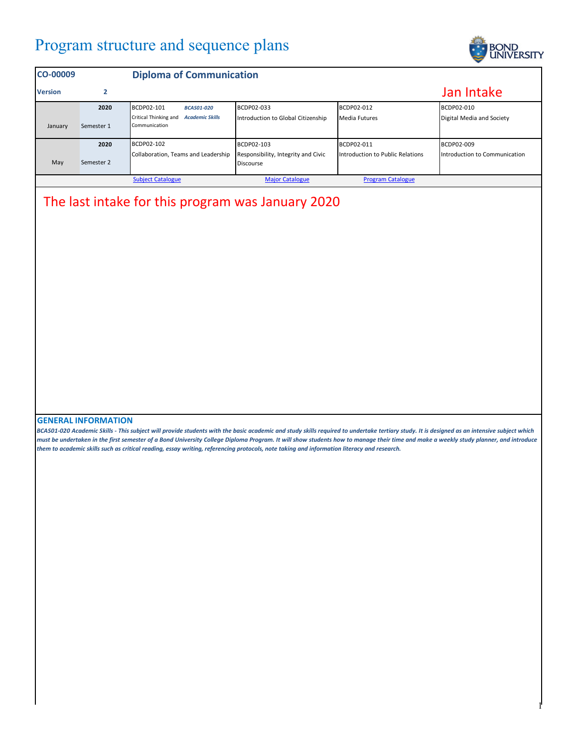## Program structure and sequence plans



1

| <b>CO-00009</b> |            | <b>Diploma of Communication</b>                                  |                                                         |                                  |                               |
|-----------------|------------|------------------------------------------------------------------|---------------------------------------------------------|----------------------------------|-------------------------------|
| <b>Version</b>  | 2          |                                                                  |                                                         |                                  | Jan Intake                    |
|                 | 2020       | <b>BCDP02-101</b><br><b>BCAS01-020</b>                           | BCDP02-033                                              | BCDP02-012                       | BCDP02-010                    |
| January         | Semester 1 | Critical Thinking and<br><b>Academic Skills</b><br>Communication | Introduction to Global Citizenship                      | <b>Media Futures</b>             | Digital Media and Society     |
|                 | 2020       | BCDP02-102                                                       | BCDP02-103                                              | BCDP02-011                       | BCDP02-009                    |
| May             | Semester 2 | Collaboration, Teams and Leadership                              | Responsibility, Integrity and Civic<br><b>Discourse</b> | Introduction to Public Relations | Introduction to Communication |
|                 |            | <b>Subject Catalogue</b>                                         | <b>Major Catalogue</b>                                  | <b>Program Catalogue</b>         |                               |

## The last intake for this program was January 2020

## **GENERAL INFORMATION**

*BCAS01-020 Academic Skills - This subject will provide students with the basic academic and study skills required to undertake tertiary study. It is designed as an intensive subject which must be undertaken in the first semester of a Bond University College Diploma Program. It will show students how to manage their time and make a weekly study planner, and introduce them to academic skills such as critical reading, essay writing, referencing protocols, note taking and information literacy and research.*